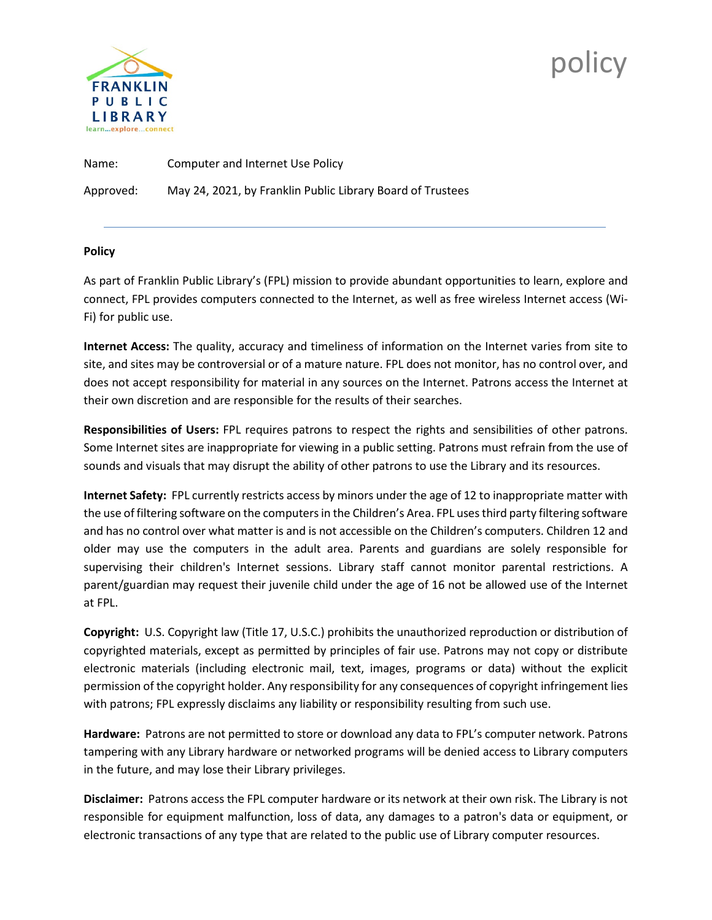

## **policy**

Name: Computer and Internet Use Policy Approved: May 24, 2021, by Franklin Public Library Board of Trustees

## **Policy**

As part of Franklin Public Library's (FPL) mission to provide abundant opportunities to learn, explore and connect, FPL provides computers connected to the Internet, as well as free wireless Internet access (Wi-Fi) for public use.

**Internet Access:** The quality, accuracy and timeliness of information on the Internet varies from site to site, and sites may be controversial or of a mature nature. FPL does not monitor, has no control over, and does not accept responsibility for material in any sources on the Internet. Patrons access the Internet at their own discretion and are responsible for the results of their searches.

**Responsibilities of Users:** FPL requires patrons to respect the rights and sensibilities of other patrons. Some Internet sites are inappropriate for viewing in a public setting. Patrons must refrain from the use of sounds and visuals that may disrupt the ability of other patrons to use the Library and its resources.

**Internet Safety:** FPL currently restricts access by minors under the age of 12 to inappropriate matter with the use of filtering software on the computers in the Children's Area. FPL uses third party filtering software and has no control over what matter is and is not accessible on the Children's computers. Children 12 and older may use the computers in the adult area. Parents and guardians are solely responsible for supervising their children's Internet sessions. Library staff cannot monitor parental restrictions. A parent/guardian may request their juvenile child under the age of 16 not be allowed use of the Internet at FPL.

**Copyright:** U.S. Copyright law (Title 17, U.S.C.) prohibits the unauthorized reproduction or distribution of copyrighted materials, except as permitted by principles of fair use. Patrons may not copy or distribute electronic materials (including electronic mail, text, images, programs or data) without the explicit permission of the copyright holder. Any responsibility for any consequences of copyright infringement lies with patrons; FPL expressly disclaims any liability or responsibility resulting from such use.

**Hardware:** Patrons are not permitted to store or download any data to FPL's computer network. Patrons tampering with any Library hardware or networked programs will be denied access to Library computers in the future, and may lose their Library privileges.

**Disclaimer:** Patrons access the FPL computer hardware or its network at their own risk. The Library is not responsible for equipment malfunction, loss of data, any damages to a patron's data or equipment, or electronic transactions of any type that are related to the public use of Library computer resources.